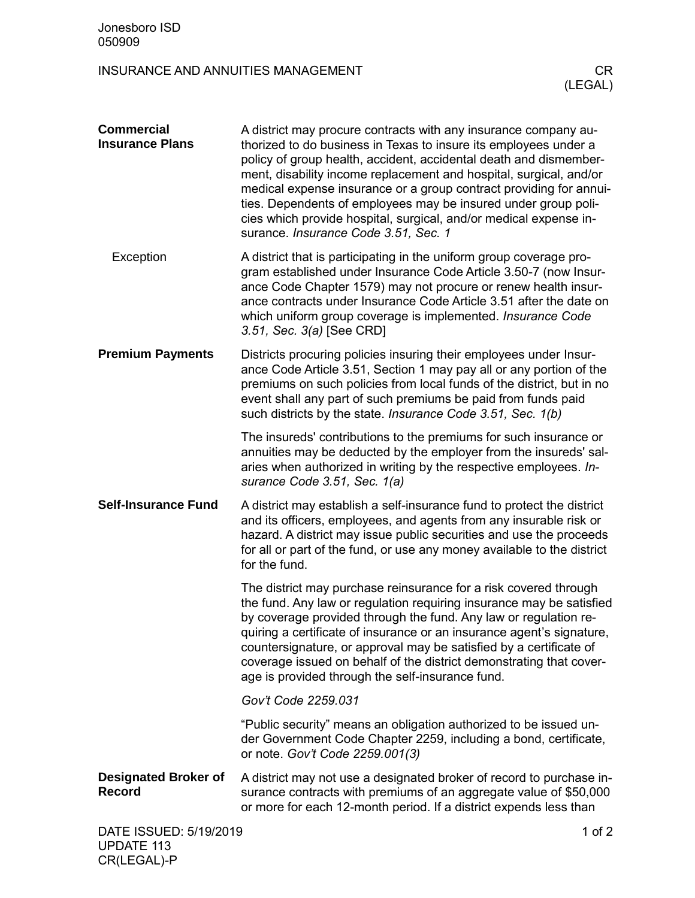## INSURANCE AND ANNUITIES MANAGEMENT **EXAMPLE 1999** CR

| <b>Commercial</b><br><b>Insurance Plans</b>  | A district may procure contracts with any insurance company au-<br>thorized to do business in Texas to insure its employees under a<br>policy of group health, accident, accidental death and dismember-<br>ment, disability income replacement and hospital, surgical, and/or<br>medical expense insurance or a group contract providing for annui-<br>ties. Dependents of employees may be insured under group poli-<br>cies which provide hospital, surgical, and/or medical expense in-<br>surance. Insurance Code 3.51, Sec. 1 |
|----------------------------------------------|-------------------------------------------------------------------------------------------------------------------------------------------------------------------------------------------------------------------------------------------------------------------------------------------------------------------------------------------------------------------------------------------------------------------------------------------------------------------------------------------------------------------------------------|
| Exception                                    | A district that is participating in the uniform group coverage pro-<br>gram established under Insurance Code Article 3.50-7 (now Insur-<br>ance Code Chapter 1579) may not procure or renew health insur-<br>ance contracts under Insurance Code Article 3.51 after the date on<br>which uniform group coverage is implemented. Insurance Code<br>3.51, Sec. 3(a) [See CRD]                                                                                                                                                         |
| <b>Premium Payments</b>                      | Districts procuring policies insuring their employees under Insur-<br>ance Code Article 3.51, Section 1 may pay all or any portion of the<br>premiums on such policies from local funds of the district, but in no<br>event shall any part of such premiums be paid from funds paid<br>such districts by the state. <i>Insurance Code 3.51</i> , Sec. 1(b)                                                                                                                                                                          |
|                                              | The insureds' contributions to the premiums for such insurance or<br>annuities may be deducted by the employer from the insureds' sal-<br>aries when authorized in writing by the respective employees. In-<br>surance Code 3.51, Sec. 1(a)                                                                                                                                                                                                                                                                                         |
| <b>Self-Insurance Fund</b>                   | A district may establish a self-insurance fund to protect the district<br>and its officers, employees, and agents from any insurable risk or<br>hazard. A district may issue public securities and use the proceeds<br>for all or part of the fund, or use any money available to the district<br>for the fund.                                                                                                                                                                                                                     |
|                                              | The district may purchase reinsurance for a risk covered through<br>the fund. Any law or regulation requiring insurance may be satisfied<br>by coverage provided through the fund. Any law or regulation re-<br>quiring a certificate of insurance or an insurance agent's signature,<br>countersignature, or approval may be satisfied by a certificate of<br>coverage issued on behalf of the district demonstrating that cover-<br>age is provided through the self-insurance fund.                                              |
|                                              | Gov't Code 2259.031                                                                                                                                                                                                                                                                                                                                                                                                                                                                                                                 |
|                                              | "Public security" means an obligation authorized to be issued un-<br>der Government Code Chapter 2259, including a bond, certificate,<br>or note. Gov't Code 2259.001(3)                                                                                                                                                                                                                                                                                                                                                            |
| <b>Designated Broker of</b><br><b>Record</b> | A district may not use a designated broker of record to purchase in-<br>surance contracts with premiums of an aggregate value of \$50,000<br>or more for each 12-month period. If a district expends less than                                                                                                                                                                                                                                                                                                                      |
| DATE ISSUED: 5/19/2019<br>UPDATE 113         | 1 of $2$                                                                                                                                                                                                                                                                                                                                                                                                                                                                                                                            |